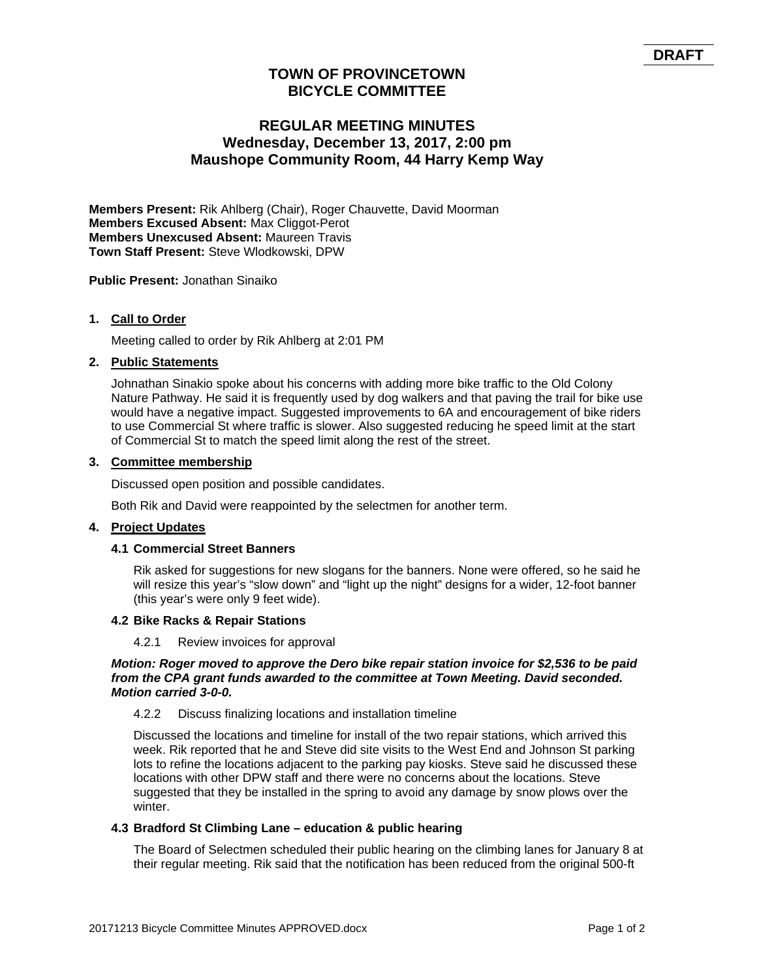# **TOWN OF PROVINCETOWN BICYCLE COMMITTEE**

# **REGULAR MEETING MINUTES Wednesday, December 13, 2017, 2:00 pm Maushope Community Room, 44 Harry Kemp Way**

**Members Present:** Rik Ahlberg (Chair), Roger Chauvette, David Moorman **Members Excused Absent:** Max Cliggot-Perot **Members Unexcused Absent:** Maureen Travis **Town Staff Present:** Steve Wlodkowski, DPW

**Public Present:** Jonathan Sinaiko

## **1. Call to Order**

Meeting called to order by Rik Ahlberg at 2:01 PM

#### **2. Public Statements**

Johnathan Sinakio spoke about his concerns with adding more bike traffic to the Old Colony Nature Pathway. He said it is frequently used by dog walkers and that paving the trail for bike use would have a negative impact. Suggested improvements to 6A and encouragement of bike riders to use Commercial St where traffic is slower. Also suggested reducing he speed limit at the start of Commercial St to match the speed limit along the rest of the street.

#### **3. Committee membership**

Discussed open position and possible candidates.

Both Rik and David were reappointed by the selectmen for another term.

## **4. Project Updates**

#### **4.1 Commercial Street Banners**

Rik asked for suggestions for new slogans for the banners. None were offered, so he said he will resize this year's "slow down" and "light up the night" designs for a wider, 12-foot banner (this year's were only 9 feet wide).

#### **4.2 Bike Racks & Repair Stations**

#### 4.2.1 Review invoices for approval

#### *Motion: Roger moved to approve the Dero bike repair station invoice for \$2,536 to be paid from the CPA grant funds awarded to the committee at Town Meeting. David seconded. Motion carried 3-0-0.*

#### 4.2.2 Discuss finalizing locations and installation timeline

Discussed the locations and timeline for install of the two repair stations, which arrived this week. Rik reported that he and Steve did site visits to the West End and Johnson St parking lots to refine the locations adjacent to the parking pay kiosks. Steve said he discussed these locations with other DPW staff and there were no concerns about the locations. Steve suggested that they be installed in the spring to avoid any damage by snow plows over the winter.

#### **4.3 Bradford St Climbing Lane – education & public hearing**

The Board of Selectmen scheduled their public hearing on the climbing lanes for January 8 at their regular meeting. Rik said that the notification has been reduced from the original 500-ft